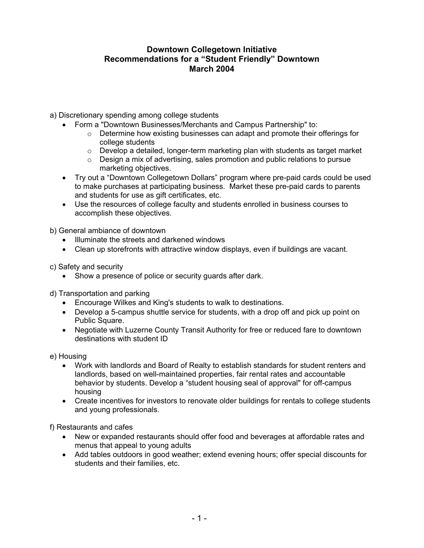## **Downtown Collegetown Initiative Recommendations for a "Student Friendly" Downtown March 2004**

- a) Discretionary spending among college students
	- Form a "Downtown Businesses/Merchants and Campus Partnership" to:
		- $\circ$  Determine how existing businesses can adapt and promote their offerings for college students
		- $\circ$  Develop a detailed, longer-term marketing plan with students as target market
		- $\circ$  Design a mix of advertising, sales promotion and public relations to pursue marketing objectives.
	- Try out a "Downtown Collegetown Dollars" program where pre-paid cards could be used to make purchases at participating business. Market these pre-paid cards to parents and students for use as gift certificates, etc.
	- Use the resources of college faculty and students enrolled in business courses to accomplish these objectives.

b) General ambiance of downtown

- Illuminate the streets and darkened windows
- Clean up storefronts with attractive window displays, even if buildings are vacant.

c) Safety and security

• Show a presence of police or security guards after dark.

d) Transportation and parking

- Encourage Wilkes and King's students to walk to destinations.
- Develop a 5-campus shuttle service for students, with a drop off and pick up point on Public Square.
- Negotiate with Luzerne County Transit Authority for free or reduced fare to downtown destinations with student ID

e) Housing

- Work with landlords and Board of Realty to establish standards for student renters and landlords, based on well-maintained properties, fair rental rates and accountable behavior by students. Develop a "student housing seal of approval" for off-campus housing
- Create incentives for investors to renovate older buildings for rentals to college students and young professionals.

f) Restaurants and cafes

- New or expanded restaurants should offer food and beverages at affordable rates and menus that appeal to young adults
- Add tables outdoors in good weather; extend evening hours; offer special discounts for students and their families, etc.